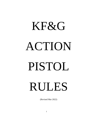# KF&G ACTION PISTOL RULES

(Revised Mar 2022)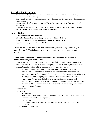# **Participation Principles**

- Competitors will not attempt to circumvent or compromise any stage by the use of inappropriate devices, equipment, or techniques.
- In any single contest, a shooter must use the same firearm on all stages unless the firearm becomes unserviceable.
- Competitors will refrain from unsportsmanlike conduct, unfair actions, and the use of illegal equipment.
- Re-shoots are allowed for stage equipment failures or SO interference only. This is a "no alibi" match; once the buzzer sounds, the stage must be finished.

## **Safety Rules**

- **Treat all guns as if they are loaded.**
- **Never let the muzzle cover anything you are not willing to destroy.**
- **Keep your finger off the trigger until your sights are on the target.**
- **Identify your target and what is behind it.**

The Safety Rules below serve as the cornerstone for every shooter, Safety Officer (SO), and Match Director (MD) to follow so that our events are safe and enjoyable to a wide range of participants.

#### **Unsafe firearm handling will result in immediate Disqualification (DQ) from the match. Examples (Non-inclusive list):**

- Endangering any person, including yourself. This includes sweeping one's self or anyone else with a loaded or unloaded firearm. Sweeping is defined as allowing the muzzle of the firearm (loaded or unloaded) to cross or cover any portion of a person.
	- o Exception: Some body types combined with some holster types makes it almost impossible to holster a firearm or remove the firearm from the holster without sweeping a portion of the shooter's lower extremities. Thus, a match Disqualification is not applicable for sweeping of the shooter's own body below the belt while removing the firearm from the holster or holstering of the firearm, provided that the shooter's trigger finger is clearly outside of the trigger guard. However, once the muzzle of the firearm is clear of the holster on the draw, sweeping any part of the body is a Disqualification.
- Breaking the 180.
- A discharge:
	- o In the holster.
	- o Into the ground downrange closer to the shooter than two (2) yards unless engaging a low target that is within two (2) yards.
	- o Over a berm.
	- o During Load And Make Ready, Unload And Show Clear, Reload, or Malfunction Clearance.
	- o Before the start signal.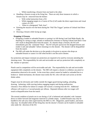- o While transferring a firearm from one hand to the other.
- Handling a firearm except at the firing line. There are only three instances in which a firearm may be removed from the holster:
	- o With verbal instruction from a SO.
	- o While engaging targets in a Course of Fire (CoF) under the direct supervision and visual contact of a SO.
	- o When in a designated "Safe Area".
- Pointing the muzzle over the berm during the "Pull The Trigger" portion of Unload And Show Clear.
- Drawing a firearm while facing up range.

#### **Dropping A Firearm.**

- Dropping a loaded or unloaded firearm or causing it to fall during Load And Make Ready, the shooting of a string or stage, reloads or malfunction clearance or during Unload And Show Clear will result in disqualification from the match. If a shooter drops a firearm, the SO will immediately give the command "Stop". The SO will pick up/recover the dropped firearm and render it safe and unloaded before returning it to the shooter. The shooter will be disqualified from the match.
- The MD will make the decision as to the penalty to be given to anyone who drops an unloaded firearm or causes it to fall when he/she is not the active shooter.

Ear protection and impact resistant eye protection are required to be used by everyone attending the shooting event. The responsibility for safe and serviceable ear and eye protection falls completely on the shooter or spectator.

Pistols used in competition will be serviceable and safe. The responsibility for safe and serviceable equipment falls completely on the shooter. The MD will require a shooter to withdraw any pistol or ammunition observed to be unsafe. In the event that a pistol cannot be loaded or unloaded due to a broken or failed mechanism, the shooter must notify the SO, who will take such action as he/she thinks safest.

Fingers must be obviously and visibly outside the trigger guard during loading, unloading, drawing, holstering, while moving (unless engaging targets) and during malfunction clearance. First offense for failure to comply will warrant a warning from the SO. Additional offenses will result in a 3 second penalty per offense. Repeated offenses after two stages will result in disqualification from the match.

The normal condition of pistols not in use during a CoF is holstered and unloaded, with hammer down or striker forward and magazine removed or cylinder empty. Loaded firearms may only be handled in the safe area when supervised by the MD or a SO. Magazines, speed loaders, and moon clips may be reloaded while off the firing line, but the shooter's firearm can be loaded or unloaded only under the direction of the SO.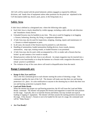All CoFs will be started with the pistol holstered, safeties engaged as required by different divisions, and hands clear of equipment unless other positions for the pistol are stipulated in the CoF description (table top, drawer, pack, purse, in the firing hand, etc.).

# **Safety Area**

A Safe Area is defined as a designated area where the following rules apply.

- Each Safe Area is clearly identified by visible signage, including a table with the safe direction and boundaries clearly shown.
- Unloaded firearms may be handled at any time. This area is used for bagging or un-bagging a firearm, holstering, drawing, dry firing, or equipment adjustment.
- A Safe Area may also be used for inspections, stripping, cleaning, repairs and maintenance of a firearm or related equipment or parts.
- In all cases, the muzzle of the firearm must be pointed in a safe direction.
- Handling of ammunition, loaded ammunition feeding devices, loose rounds, dummy ammunition, snap caps, training rounds, or loaded firearms is not permitted.
- A Safe Area may also be used, while accompanied by a SO, to render safe a firearm that has locked up and contains a live round or rounds.
- Reload practice within the Safe Area is not allowed. An empty magazine may be inserted into a firearm to test functionality or to drop the hammer on a firearm with a magazine disconnect, but reload practice is prohibited.
- The violation of any of the cases above will result in disqualification from the match.

# **Range Commands are:**

• **Range Is Hot, Eyes and Ears**

This is the first command given to each shooter starting the action of shooting a stage. This command signifies the start of the CoF. The shooter will make sure that their eye and hearing protection is in place. It is also notification to anyone in the shooting bay to check that their own eye and hearing protection is properly fitted.

• **Load and Make Ready**

When the shooter has proper eye and hearing protection, the SO will issue the Load and Make Ready command. The shooter will prepare the firearm and magazines to match the start position for the stage. Typically, this is to load the firearm and holster, but may include non-typical loading or staging of equipment. The shooter will then assume the starting position necessary for the stage. If the shooter's firearm is not to be loaded for the start of a stage, the command used will be "Make Ready."

#### • **Are You Ready?**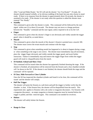After "Load and Make Ready," the SO will ask the shooter "Are You Ready?" If ready, the shooter should respond verbally, or by obvious nodding of the head, but may also choose to stand ready. If there is no response from the shooter in approximately three (3) seconds, the shooter is assumed to be ready. If the shooter is not ready when this question is asked the shooter must respond "Not Ready."

#### • **Standby**

This command is given after the shooter is ready. This command will be followed by the start signal within one (1) to three (3) seconds. The shooter may not move or change positions between the "Standby" command and the start signal, unless required to do so by the CoF.

#### • **Finger**

This command is given when the shooter's finger is not obviously and visibly outside the trigger guard when it should be, as noted above.

#### • **Muzzle**

This command is given when the muzzle of the shooter's firearm is pointed near a muzzle 180. The shooter must correct the errant muzzle and continue with the stage.

• **Stop**

This command is given when something unsafe has happened or is about to happen during a stage, or when something in the stage is not correct. The shooter must immediately stop all movement, place the trigger finger obviously and visibly outside the trigger guard, and await further instruction. Failure to immediately stop and remove the trigger finger from within the trigger guard will result in disqualification from the match.

#### • **If Finished, Unload and Show Clear**

This command will be issued when the shooter has apparently finished shooting the stage. If the shooter is finished, all ammunition will be removed from the firearm and a clear chamber/cylinder will be shown to the SO. If the shooter is not finished, the shooter should finish the stage and the command will be repeated.

#### • **If Clear, Slide Forward or Close Cylinder**

Once the SO has inspected the chamber/cylinder and found it to be clear, this command will be issued and the shooter will comply.

#### • **Pull The Trigger**

The shooter will point the firearm at a safe berm and pull the trigger to further verify that the chamber is clear. If the firearm fires, the shooter will be disqualified from the match. This requirement also applies to firearms with a de-cocker or magazine disconnect. For firearms with a magazine disconnect, an empty magazine or dummy magazine must be inserted before the trigger is pulled, and then removed again. This command is not needed for revolvers.

#### • **Holster**

The shooter will safely holster the firearm.

#### • **Range Is Clear**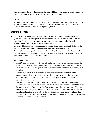This command indicates to the shooter and anyone within the stage boundaries that the range is clear. This command begins the scoring and resetting of the stage.

## **Reloads**

All ammunition used in the CoF must be brought to the line by the shooter in magazines or speed loaders. NO loose ammunition for reloads. Reloads may be done anytime during the CoF but MUST be done whenever the CoF description requires it.

# **Starting Position**

- Once the shooter has assumed the "ready position" and the "Standby" command has been given, the shooter's physical position may not be changed prior to the start signal, with the exception of head movements, provided such movements do not contradict the ready position requirements specified in the stage description.
- Unless specified otherwise in the stage description, the default ready position is defined as the shooter standing erect with body relaxed and hands resting naturally at sides.
- If starting from a seated position (as specified in the stage description) and the shooter needs assistance in standing, the shooter may have assistance in standing with the assistants stepping back before the firearm is touched by the shooter.

Start Position Errors:

- If an SO determines that a shooter was allowed to start in an incorrect start position (at the time the "Standby" command was given), a reshoot is required and no penalty is assessed. Note: This rule does not apply to equipment start condition (loaded with correct number of rounds, etc.).
- When a stage is started in an incorrect start position and the shooter notices but the SO does not notice, the shooter must request a reshoot immediately following the holster command and prior to the scoring of targets. If not requested during this period, no reshoot will be allowed.
- No shooter can reshoot a stage or string because of firearm or "mental" malfunctions. Reshoots are required for stage equipment malfunctions, in most instances. If an SO feels he has interfered with a shooter, he will offer a reshoot to the shooter immediately following the holster command and prior to the scoring of targets, as determined by the SO. If a shooter feels he has been interfered with by an SO, the shooter must request a reshoot immediately following the holster command and prior to the scoring of targets, in this instance the MD will determine if a reshoot request is granted.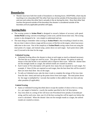# **Boundaries**

• Shooter must have both feet inside of boundaries or shooting boxes. EXCEPTION; a foot may be touching or on a boundary BUT the other foot may not be outside of the boundary (one in/on and one out) unless the other foot is actually in the air during the shot. Once that other foot touches the ground outside of the boundary the shooter is considered outside of the boundary and any applicable penalties will apply.

# **Scoring Rules**

- The scoring system in **Action Pistol** is designed to reward a balance of accuracy with speed. **Action Pistol** scoring converts everything to a time score, and the lowest time wins. The scoring system is also designed to be very simple to understand and use.
- The main thing to remember when scoring in **Action Pistol** is that everything is based on time, the raw time it takes to shoot a stage and the accuracy of the hits on the targets, where inaccuracy adds time to the score. Part of the simplicity of **Action Pistol** scoring comes from not using the total points of a target, and instead using points down on each target. Each point down adds one (1) second to the time for the stage.

#### **Unlimited Scoring**

- Unlimited Scoring allows the shooter to shoot at each target as much as deemed necessary. The best hits on a target are used for score. This gives the shooter the option to make up misses or hits that he/she is not satisfied with to improve their score. When the shooter does not fire enough rounds at a target, the unfired rounds are counted as misses.
- Each Course of Fire description will specify how many hits are required on each target. For example, if three (3) hits are required on each target, then the best three hits will be scored if there are more than three hits on the target.
- To tally an Unlimited score, take the time it took to complete the strings of fire (raw time from the shot timer) and total up the points down from each target. The total points down for the stage is multiplied by 1 second; that number is then added to the raw time and any other penalties (if applicable).

#### **Limited Scoring**

- Same as Unlimited Scoring described above except the number of shots to fire in a string (i.e., per target) is limited to exactly the number specified in the CoF description.
- Any extra shots in a string of fire will incur one Procedural Error penalty (3 seconds) per string, and for each extra shot, one (1) of the best scoring hits will be taped over before the score is calculated. When the shooter does not fire enough rounds at a target, the unfired rounds are counted as misses.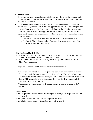#### **Incomplete Stage**

- If a shooter has started a stage but cannot finish the stage due to a broken firearm, squib, or personal injury, the score will be determined by whichever of the following methods results in the best score.
- If the SO stopped the shooter for a perceived squib, and it turns out not to be a squib, the shooter will be given a reshoot. If the SO stopped the shooter for a perceived squib, and it is a squib, the score will be determined by whichever of the following methods results in the best score. If the shooter stopped on his/her own for a perceived squib, then squib or not, the score will be determined by whichever of the following methods results in the best score.
	- o Method A: All required shots that were not fired will be scored as misses.
	- $\circ$  Method B: The minimum number of shots required for the stage is multiplied by three (3) seconds for a stage score.

#### **Did Not Finish Match (DNF)**

- A shooter that chooses not to shoot a stage will be given a DNF for that stage but may continue to shoot other stages for no total match score.
- A shooter that chooses not to shoot a stage must notify the SO before the Load and Make Ready command.

#### **Always award any reasonable question on scoring to the shooter.**

- If the Safety Officer has to look at a target very closely for an extended time to determine if a shot has touched a better scoring line, the better value will be used. When a Safety Officer has a reasonable doubt on a scoring call, the SO will award the better score to the shooter. This also applies to possible doubles. However, this does not automatically mean that every miss is a double.
- Video of shooters cannot be used to determine the shooter's score or appeal an SO's decision.

#### **Bullet Holes**

- Odd shaped holes made by bullets ricocheting off of the bay floor, props, steel, etc., are not scored.
- Only holes made by whole bullets, not fragments, are scored.
- Only bullet holes entering the front of the target will be scored.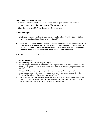#### **Hard Cover / No Shoot Targets**

- Black for hard cover simulation. White for no shoot targets. Any shot that puts a full diameter hole in a **Hard Cover Target** will be considered a miss.
- Shots that penetrate a **No Shoot Target** are -5 seconds each.

#### **Shoot Throughs**

- Shots that penetrate soft cover and go on to strike a target will be scored as hits (whether the target is a threat or a non-threat.)
- Shoot Through When a bullet passes through a non-threat target and also strikes a threat target, the shooter will get the penalty for the non-threat target hit and will get credit for the scored hit on the threat target. The reverse also applies when a round on a threat target penetrates a non-threat or threat behind it.
- All target shoot through hits count.

#### **Target Scoring Zones**

- An **IDPA** target will be used for paper targets.
- All steel targets must fall to count as a hit. Steel targets that fail to fall will be scored as down five (-5). Exception: .22 and .22rev divisions required to "hit" the steel (it's possible they may not fall.
- Official IDPA cardboard targets may be stationary or moving. These targets will be scored as marked, as down zero  $(-0)$ , down one  $(-1)$ , down three  $(-3)$ , and a miss is down five  $(-5)$ .
- Shots touching a line will be scored to the lower "down".
- On the IDPA target there is exposed cardboard outside the three (3) ring. Shots touching the three  $(3)$  ring score as down three  $(-3)$ . Shots outside and not touching the three  $(3)$  ring (but "on the cardboard") will be scored as a miss and is down five (-5)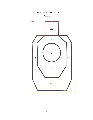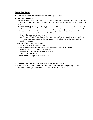# **Penalties Rules**

- **Procedural Error (PE):** Adds three (3) seconds per infraction.
- **Disqualification (DQ):**

Disqualification means the shooter may not continue in any part of the match, may not reenter in another division, and may not shoot any side matches. The shooter's score will be reported as DQ.

- **Flagrant Penalty (FP)** A Flagrant Penalty (FP) adds ten (10) seconds and is assessed, instead of a PE Penalty, in cases where an infraction results in a competitive advantage, such as failure to follow the instructions in a CoF and gaining a competitive advantage that cannot be addressed by a PE
	- (i.e. score works out in competitors favor with a PE added).

Flagrant Penalties are assessed when:

A. A shooter fails to follow the shooting procedures set forth in the written stage description and/or uses inappropriate equipment with the obvious intent of gaining a competitive scoring advantage.

Examples of an FP (non-inclusive list):

- A. Not fully engaging all targets as required
- B. Not following stage requirement that takes longer than 3 seconds to perform
- C. Shooting an entire array while faulting the line
- D. Staging an ammunition feeding device incorrectly

E. Extra rounds in magazines

All FPs must be approved by the MD.

- **Multiple Finger Infractions:** Adds three (3) seconds per infraction.
- **Calculation of "Down" Count:** Total number down per stage multiplied by 1 second is added to raw time (ex. down 13 x 1 = 13 seconds added to raw time)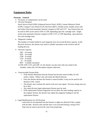# **Equipment Rules**

#### **Firearms – General**

- No lasers, or compensators can be used.
- Division Summary

Stock Service Pistol (SSP); Enhanced Service Pistol (ESP); Custom Defensive Pistol (CDP); Compact Carry Pistol (CCP), Revolver (REV). Double action, double action only and striker fired semi-automatic firearms compete in SSP and CCP. Any firearm that can be used in SSP can be used in ESP or CDP, depending upon the cartridge used. Single action semi-automatic firearms compete in ESP, CCP, or CDP depending upon physical size and cartridge used.

• Magazine Loading

The number of rounds loaded in each magazine may not exceed division capacity. In the Revolver division, the shooter may load to cylinder maximum in the revolver and all loading devices.

- Division Capacity
	- SSP 10 rounds ESP – 10 rounds
	- CDP 8 rounds
	- CCP 8 rounds
	- $22 10$  rounds

REV – Cylinder maximum

In SSP, ESP, CCP, and CDP, 22, the shooter can also start with one round in the chamber, unless the CoF description requires otherwise.

- Unserviceable Firearm Rule
	- o If the shooter determines that the firearm has become unserviceable, he will notify a Safety Officer who will notify the Match Director.
	- o Once the shooter declares the firearm is unserviceable, it may not be used for the duration of the match.
	- o The shooter may continue the match at the next start signal. Previous strings may not be re-shot.
	- o Any same-division legal replacement firearm may be used.
	- o If the replacement firearm magazines do not allow the same loading capacity as the original firearm, the shooter may adjust the magazine loading to suit the replacement firearm.
- Legal Modifications for All Divisions

Lasers that are incorporated into the firearm or sights are allowed if they comply with all other division rules and the laser is not activated during a string of fire. Tape may be used to prevent the laser from projecting.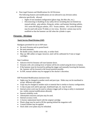• Non-Legal Features and Modifications for All Divisions

The following features and modifications are not allowed in any division unless otherwise specifically allowed.

- o Sights of non-standard configuration (ghost rings, Bo-Mar ribs, etc.).
- o Disconnecting or disabling of any safety device including (but not limited to): manual safeties, grip safeties, firing pin, striker, and hammer blocking safeties, 1911 series 80 firing pin safeties, 1911 Swartz safeties. 1911 series 80 frames may be used with series 70 slides or vice versa. Revolver actions may not be modified so that the hammer can fall when the cylinder is open.

#### **Firearms - Divisions**

#### **Stock Service Pistol Division (SSP)**

Handguns permitted for use in SSP must:

- Be stock firearms and no ported barrel.
- Be semi-automatic.
- Be double action, double action only, or striker fired.
- May use 380 caliber or larger; however, steel will be calibrated for 9 mm or larger cartridges.

Start Condition:

- Selective DA/SA firearms will start hammer down.
- Firearms with a de-cocking lever or button will be de-cocked using the lever or button.
- If the hammer must be lowered by pulling the trigger and manually lowering the hammer, the hammer will be lowered to the lowest position possible.
- In SSP, manual safeties may be engaged at the shooter's discretion.

SSP Permitted Modifications (inclusive list):

- Sights may be changed to another notch and post type. Slides may not be machined to accept different style sights.
- Grips may be changed to another style or material that is similar to factory configuration.
- A slip-on grip sock and/or grip tape, skateboard tape, etc. may be used.
- Internal action work may be used to enhance trigger pull as long as safety is maintained (no visible external modifications allowed).
- Internal reliability work.
- Aftermarket extractors and pins may be used.
- Internal accuracy work.
- A factory replacement barrel with the original cartridge.
- Plastic plugs may be used to fill the opening behind the magazine well.
- Custom finishes may be applied.
- Stock slide cover plates may be refinished.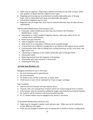- Slides may be engraved. Engraving is defined as etching into the slide of logos, letters, and graphics no deeper than the original factory logos.
- Stippling and texturing may be performed on readily replaceable parts of the grip frame such as replaceable back straps and replaceable grip panels.
- Aftermarket magazines may be used.
- Magazines that are longer than stock may be used provided they meet all other division requirements.

SSP Excluded Modifications (Non-Inclusive list):

- Externally visible modifications other than those listed in the Permitted Modifications section.
- Aftermarket or visibly modified magazine releases, slide stops, safety levers, decocking levers, and hammers.
- Robar-style grip reduction.
- Add-on magazine well opening.
- Slide inserts to accommodate a different recoil assembly design.
- A barrel that uses a different cartridge that is not offered in the original factory model.
- Customization of the slide by adding front cocking serrations, tri-top, carry melts, and high power cuts.
- Checkering or stippling on non-readily replaceable parts of the grip frame.
- Aftermarket slides.
- Removing material from the magazine well opening.
- Aftermarket grip tang extensions or beavertails.
- Disabling the slide stop.

#### **.22 Semi-Auto Division (.22)**

Handguns permitted for use in SSP must:

- Be stock firearms and no ported barrel.
- Be semi-automatic.
- Be double action, double action only, or striker fired.
- 22LR however steel will be calibrated for 9 mm or larger cartridges.

#### Start Condition:

- Selective DA/SA firearms will start hammer down.
- Firearms with a de-cocking lever or button will be de-cocked using the lever or button.
- If the hammer must be lowered by pulling the trigger and manually lowering the hammer, the hammer will be lowered to the lowest position possible.
- In .22, manual safeties may be engaged at the shooter's discretion.

.22 Permitted Modifications (inclusive list):

- Sights may be changed to another notch and post type. Slides may not be machined to accept different style sights.
- Grips may be changed to another style or material that is similar to factory configuration.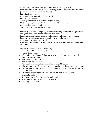- A slip-on grip sock and/or grip tape, skateboard tape, etc. may be used.
- Internal action work may be used to enhance trigger pull as long as safety is maintained (no visible external modifications allowed).
- Internal reliability work.
- Aftermarket extractors and pins may be used.
- Internal accuracy work.
- A factory replacement barrel with the original cartridge.
- Plastic plugs may be used to fill the opening behind the magazine well.
- Custom finishes may be applied.
- Stock slide cover plates may be refinished.
- Slides may be engraved. Engraving is defined as etching into the slide of logos, letters, and graphics no deeper than the original factory logos.
- Stippling and texturing may be performed on readily replaceable parts of the grip frame such as replaceable back straps and replaceable grip panels.
- Aftermarket magazines may be used.
- Magazines that are longer than stock may be used provided they meet all other division requirements.

22 Excluded Modifications (Non-Inclusive list):

- Externally visible modifications other than those listed in the Permitted Modifications section.
- Aftermarket or visibly modified magazine releases, slide stops, safety levers, decocking levers, and hammers.
- Robar-style grip reduction.
- Add-on magazine well opening.
- Slide inserts to accommodate a different recoil assembly design.
- A barrel that uses a different cartridge that is not offered in the original factory model.
- Customization of the slide by adding front cocking serrations, tri-top, carry melts, and high-power cuts.
- Checkering or stippling on non-readily replaceable parts of the grip frame.
- Aftermarket slides.
- Removing material from the magazine well opening.
- Aftermarket grip tang extensions or beavertails.
- Disabling the slide stop.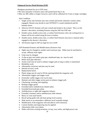#### **Enhanced Service Pistol Division (ESP)**

Handguns permitted for use in ESP must:

- Be semi-automatic if firearm came with ported barrel that is ok.
- May use 380 caliber or larger; however, steel will be calibrated for 9 mm or larger cartridges.

Start Condition:

- Single action only firearms may start cocked and locked. (hammer cocked, safety engaged). Shooter may decide to start WITHOUT a round chambered and the hammer down.
- Selective DA/SA firearms will start cocked and locked or de-cocked. This is at the shooter's discretion, including firearms using the SSP into ESP rule.
- Double action, double action only, or striker fired firearms with a de-cocking lever or button will be de-cocked using the lever or button.
- Double action, double action only, or striker-fired firearms may have a manual safety engaged at the shooter's discretion.
- All firearms legal in SSP are legal for use in ESP.

ESP Permitted Features and Modifications (Inclusive list):

- Sights may be changed to another notch and post type. Slides may be machined to accept different style sights.
- Grips may be changed.
- A slip-on grip sock and/or grip tape, skateboard tape, etc. may be used.
- Robar-style grip reduction.
- Action work may be used to enhance trigger pull as long as safety is maintained.
- Reliability work.
- Aftermarket extractors and pins may be used.
- Internal accuracy work.
- Replacement barrel.
- Plastic plugs may be used to fill the opening behind the magazine well.
- Aftermarket triggers and trigger work.
- Externally visible trigger over travel stops.
- Hammer and other trigger action parts to enhance trigger pull.
- Checkering, serrating, and stippling.
- Reshape trigger guard.
- Extended and/or ambidextrous thumb safety.
- Extended beavertail grip safety.
- Ambidextrous or right-side magazine releases.
- Extended, trimmed, and/or ambidextrous slide releases.
- Heavy or cone style barrels.
- Recoil spring guide rods and dual spring recoil systems.
- Slide inserts to accommodate a different recoil assembly design.
- Modification of the magazine well and add-on well extensions.
- Custom finishes and engraving may be applied.
- Aftermarket slide cover plates.
- Slides with front cocking serrations, tri-top, carry melts, and high-power cuts.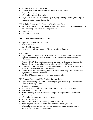- Grip tang extensions or beavertails
- Swenson style thumb shields and frame mounted thumb shields.
- Aftermarket safeties.
- Aftermarket magazine base pads.
- Magazine base pads may be modified by reshaping, texturing, or adding bumper pads.
- Magazines that are longer than stock.

ESP Excluded Features and Modifications (Non-Inclusive list):

- Removal of material from the exterior of the slide other than front cocking serrations, tritop, engraving, carry melts, and high power cuts.
- Trigger shoes.
- Disabling the slide stop.

#### **Custom Defensive Pistol Division (CDP)**

Handguns permitted for use in CDP must:

- Be semi-automatic.
- Use .45 ACP cartridges.
- Firearms originally sold with ported barrels may be used in CDP.

Start Condition:

- Single action only firearms may start cocked and locked. (hammer cocked, safety engaged. Shooter may decide to start WITHOUT a round chambered and the hammer down.
- Selective DA/SA firearms will start cocked and locked or de-cocked. This is at the shooter's discretion, including firearms using the SSP into CDP rule.
- Double action, double action only, or striker fired firearms with a de-cocking lever or button will be de-cocked using the lever or button.
- Double action, double action only, or striker-fired firearms may have a manual safety engaged at the shooter's discretion.
- All .45 ACP firearms legal in SSP are legal for use in CDP

CDP Permitted Features and Modifications (Inclusive list):

- Sights may be changed to another notch and post type. Slides may be machined to accept different style sights.
- Grips may be changed.
- A slip-on grip sock and/or grip tape, skateboard tape, etc. tape may be used.
- Robar-style grip reduction.
- Action work may be used to enhance trigger pull as long as safety is maintained.
- Reliability work.
- Aftermarket extractors and pins may be used.
- Internal accuracy work.
- Replacement barrels of factory configuration in .45 ACP.
- Plastic plugs may be used to fill the opening behind the magazine well.
- Aftermarket triggers and trigger work that result in the trigger being forward or rearward from the stock trigger position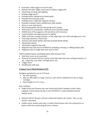- Externally visible trigger over travel stops.
- Hammer and other trigger action parts to enhance trigger pull.
- Checkering, serrating, and stippling.
- Reshape trigger guard.
- Extended and/or ambidextrous thumb safety.
- Extended beavertail grip safety.
- Ambidextrous or right side magazine releases.
- Extended, trimmed, and/or ambidextrous slide releases
- Heavy or cone style barrels.
- Recoil spring guide rods and dual spring recoil systems.
- Slide inserts to accommodate a different recoil assembly design.
- Modification of the magazine well and add-on well extensions.
- Custom finishes and engraving may be applied.
- Slides with front cocking serrations, tri-top, engraving, carry melts and high power cuts.
- Grip tang extensions or beavertails
- Swenson style thumb shields and frame mounted thumb shields.
- Aftermarket safeties.
- Aftermarket magazine base pads.
- Magazine base pads may be modified by reshaping, texturing, or adding bumper pads.
- Magazines that are longer than stock may be used.

CDP Excluded Features and Modifications (Non-Inclusive list):

- Steel dust covers are not permitted.
- Removal of material from the exterior of the slide other than front cocking serrations, tritop, engraving, carry melts, and high power cuts.
- Trigger shoes.
- Disabling the slide stop.

#### **Compact Carry Pistol Division (CCP)**

Handguns permitted for use in CCP must:

- Be semi-automatic.
- May use 380 caliber or larger; however, steel will be calibrated for 9 mm or larger cartridges.
- Barrel length of 4.10" or less.

Start Condition:

- Single action only firearms may start cocked and locked. (hammer cocked, safety engaged). Unless shooter decides to start WITHOUT a round chambered and the hammer down.
- Selective DA/SA firearms will start cocked and locked or de-cocked. This is at the shooter's discretion.
- Double action, double action only, or striker fired firearms with a de-cocking lever or button will be de-cocked using the lever or button.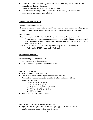• Double action, double action only, or striker-fired firearms may have a manual safety engaged at the shooter's discretion.

CCP Permitted Features and Modifications (Inclusive list):

• CCP firearms must comply with all Enhanced Service Pistol (ESP) features and modifications, and equipment restrictions

#### **Carry Optics Division (CO)**

Handguns permitted for use in CO

 Handguns, associated modifications, restrictions, holsters, magazine carriers, calibers, start condition, and division capacity shall be compliant with ESP Division requirements

Types of Optics

 Passive: These include Miniature Red Dot and Reflex sights suitable for concealed carry. They project or reflect a dot onto the optic. Passive Optics (MRDS) must be attached directly to slide between rear of slide and ejection port, and may not be mounted to the frame in any way.

 Active: These are Red or Green LASER sights that project a dot onto the target. Active optics (LASER) sights are NOT allowed.

#### **Revolver Division (REV)**

Revolver handguns permitted for use:

- May use rimmed or rimless cases.
- May be loaded via speed loader or full moon clip.

Revolver requirements:

- Must use 9 mm or larger cartridges
- The use of trimmed (shortened) ammunition is not allowed.
- Ammunition used must match the cartridge listed on the firearm with the following exceptions:
	- o .38 special in .357 magnum
	- o .44 special in .44 magnum
	- o .45 Auto Rim or .45 GAP in .45 ACP
	- o .45 ACP or .45 GAP in .45 Colt
	- o .40 S&W in 10mm
- May be loaded to the cylinder maximum.

Revolver Permitted Modifications (Inclusive list):

• Sights may be changed to another notch and post type. The frame and barrel may be machined to accept different style sights.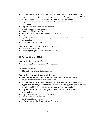- Action work to enhance trigger pull as long as safety is maintained (smoothing the trigger face, removing the hammer spur, use of over travel stop, conversion to DA only and addition of ball detent are considered action work and are permitted).
- Grips may be changed to another style or material that is similar to factory configuration
- Grip tape, skateboard tape, etc. may be used.
- Chamfer the rear of the chambers.
- Shortening of factory barrels.
- Re-barreling to another factory offering for that model.
- Custom finishes.
- Cylinder latches may be modified or replaced, but may not protrude past the frame in any direction.
- Conversion to accept moon clips.

Revolver Excluded Modifications (Non-Inclusive list):

- Oversize or heavy barrels.
- Hogue Big Butt grips and similar are not allowed.

#### **.22 Revolver Division (.22 REV)**

Revolver handguns permitted for use:

• Must be loaded via speed loader. NO loose rounds

Revolver requirements:

• May be loaded to the cylinder maximum.

Revolver Permitted Modifications (Inclusive list):

- Sights may be changed to another notch and post type. The frame and barrel may be machined to accept different style sights.
- Action work to enhance trigger pull as long as safety is maintained (smoothing the trigger face, removing the hammer spur, use of over travel stop, conversion to DA only and addition of ball detent are considered action work and are permitted).
- Grips may be changed to another style or material that is similar to factory configuration
- Grip tape, skateboard tape, etc. may be used.
- Chamfer the rear of the chambers.
- Shortening of factory barrels.
- Re-barreling to another factory offering for that model.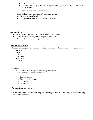- Custom finishes.
- Cylinder latches may be modified or replaced but may not protrude past the frame in any direction.
- Conversion to accept moon clips.

Revolver Excluded Modifications (Non-Inclusive list):

- Oversize or heavy barrels.
- Hogue Big Butt grips and similar are not allowed.

#### **Ammunition**

- Metal piercing, incendiary, and tracer ammunition is prohibited.
- Cartridges that may damage metal targets are prohibited.
- All ammunition must use a single projectile.

#### **Ammunition Power**

The goal is to compete with commonly available ammunition. The minimum power factors are:

SSP - 125 ESP - 125 CCP - 125 CDP – 150  $REV - 105$  $22 - N/A$ 

#### **Holsters**

- Any belt holster, except skeletonized speed holsters.
- Not Permitted (Non-inclusive list):
	- o Cross-draw carry
	- o Shoulder holsters
	- o Small of the back carry
	- o Appendix carry
	- o Pocket carry

#### **Ammunition Carriers**

General Ammunition Carrier Rules: Any belt pouch may be used, or shooters may carry spare loading devices in their pockets.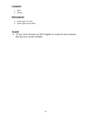### **Categories**

- Male
- Female

# **Subcategories**

- Junior (ages  $14$  to  $20$ )
- Senior (ages 60 and older)

# **Awards**

• .22 and .22rev divisions are NOT eligible for awards for those matches that may have awards available.